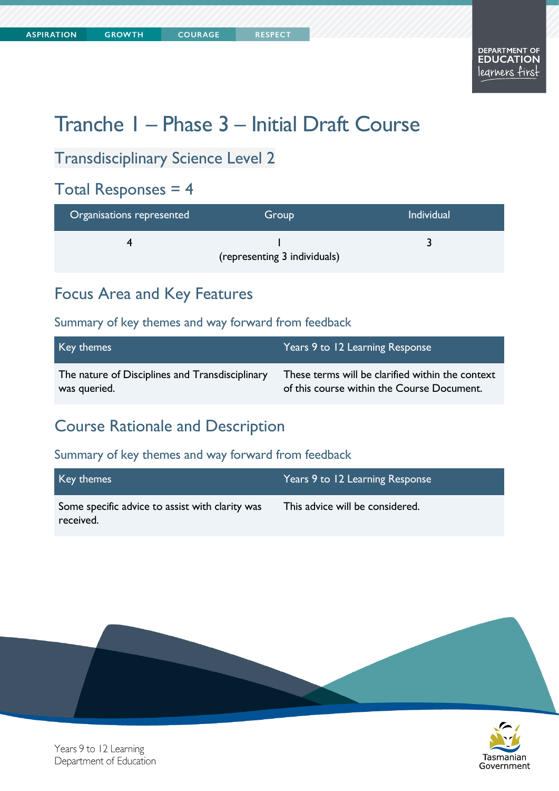**COURAGE** 

Tasmanian

Government

# Tranche 1 – Phase 3 – Initial Draft Course

#### Transdisciplinary Science Level 2

#### Total Responses = 4

| Organisations represented | Group                        | <b>Individual</b> |
|---------------------------|------------------------------|-------------------|
|                           | (representing 3 individuals) |                   |

#### Focus Area and Key Features

#### Summary of key themes and way forward from feedback

| Key themes                                      | Years 9 to 12 Learning Response                  |
|-------------------------------------------------|--------------------------------------------------|
| The nature of Disciplines and Transdisciplinary | These terms will be clarified within the context |
| was queried.                                    | of this course within the Course Document.       |

#### Course Rationale and Description

#### Summary of key themes and way forward from feedback

| Key themes                                                   | Years 9 to 12 Learning Response |
|--------------------------------------------------------------|---------------------------------|
| Some specific advice to assist with clarity was<br>received. | This advice will be considered. |



Years 9 to 12 Learning Department of Education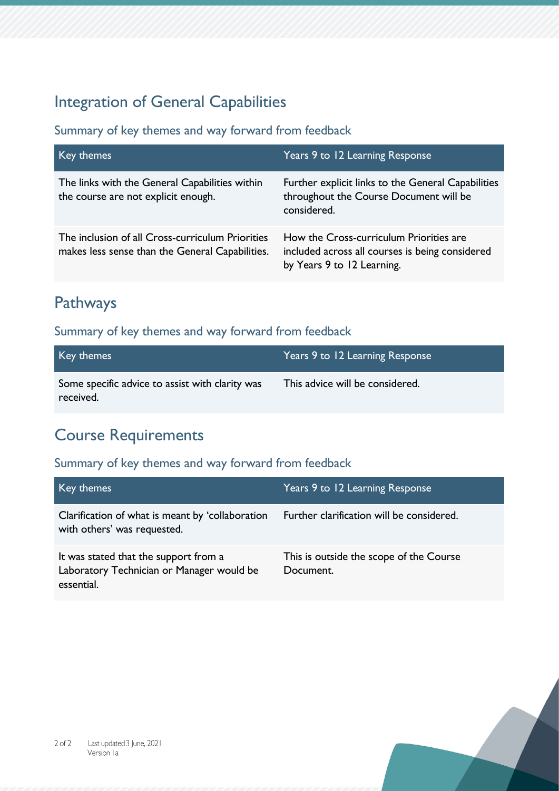### Integration of General Capabilities

#### Summary of key themes and way forward from feedback

| Key themes                                                                                          | Years 9 to 12 Learning Response                                                                                          |
|-----------------------------------------------------------------------------------------------------|--------------------------------------------------------------------------------------------------------------------------|
| The links with the General Capabilities within<br>the course are not explicit enough.               | Further explicit links to the General Capabilities<br>throughout the Course Document will be<br>considered.              |
| The inclusion of all Cross-curriculum Priorities<br>makes less sense than the General Capabilities. | How the Cross-curriculum Priorities are<br>included across all courses is being considered<br>by Years 9 to 12 Learning. |

### Pathways

#### Summary of key themes and way forward from feedback

| Key themes                                                   | Years 9 to 12 Learning Response |
|--------------------------------------------------------------|---------------------------------|
| Some specific advice to assist with clarity was<br>received. | This advice will be considered. |

### Course Requirements

| Key themes                                                                                       | Years 9 to 12 Learning Response                      |
|--------------------------------------------------------------------------------------------------|------------------------------------------------------|
| Clarification of what is meant by 'collaboration<br>with others' was requested.                  | Further clarification will be considered.            |
| It was stated that the support from a<br>Laboratory Technician or Manager would be<br>essential. | This is outside the scope of the Course<br>Document. |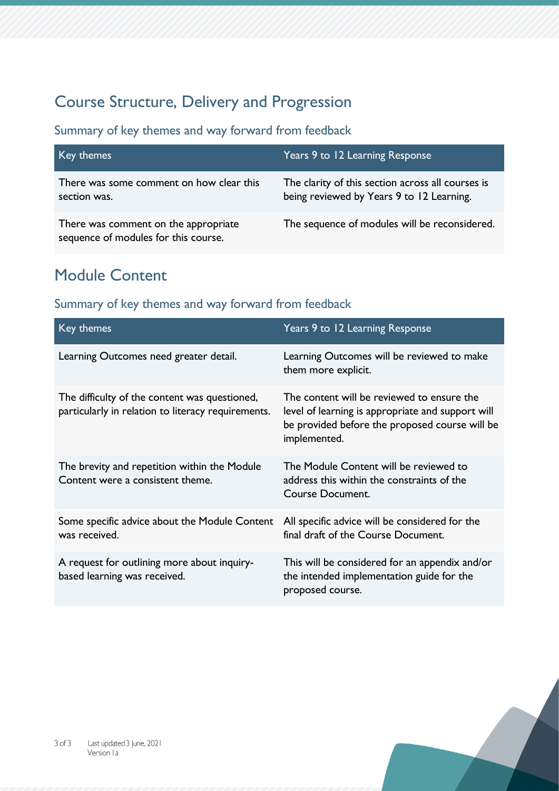# Course Structure, Delivery and Progression

Summary of key themes and way forward from feedback

| Key themes                                                                   | Years 9 to 12 Learning Response                                                                |
|------------------------------------------------------------------------------|------------------------------------------------------------------------------------------------|
| There was some comment on how clear this<br>section was.                     | The clarity of this section across all courses is<br>being reviewed by Years 9 to 12 Learning. |
| There was comment on the appropriate<br>sequence of modules for this course. | The sequence of modules will be reconsidered.                                                  |

### Module Content

| Key themes                                                                                          | Years 9 to 12 Learning Response                                                                                                                                   |
|-----------------------------------------------------------------------------------------------------|-------------------------------------------------------------------------------------------------------------------------------------------------------------------|
| Learning Outcomes need greater detail.                                                              | Learning Outcomes will be reviewed to make<br>them more explicit.                                                                                                 |
| The difficulty of the content was questioned,<br>particularly in relation to literacy requirements. | The content will be reviewed to ensure the<br>level of learning is appropriate and support will<br>be provided before the proposed course will be<br>implemented. |
| The brevity and repetition within the Module<br>Content were a consistent theme.                    | The Module Content will be reviewed to<br>address this within the constraints of the<br><b>Course Document.</b>                                                   |
| Some specific advice about the Module Content<br>was received.                                      | All specific advice will be considered for the<br>final draft of the Course Document.                                                                             |
| A request for outlining more about inquiry-<br>based learning was received.                         | This will be considered for an appendix and/or<br>the intended implementation guide for the<br>proposed course.                                                   |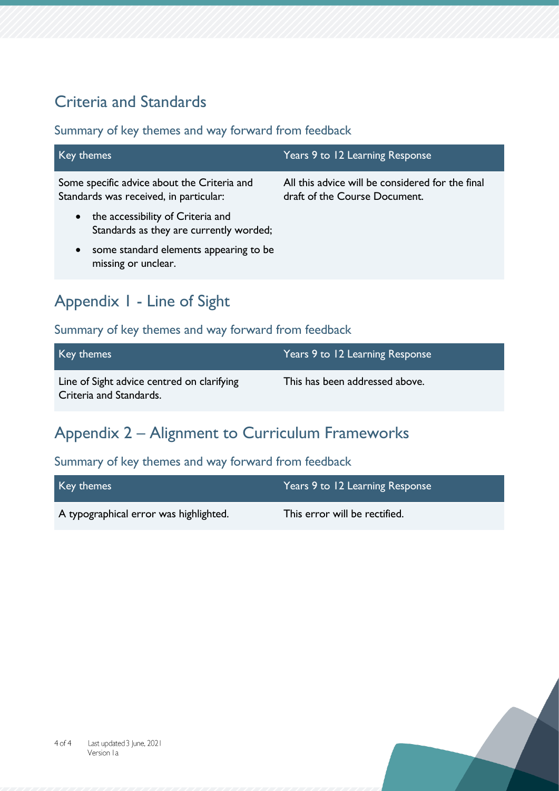# Criteria and Standards

Summary of key themes and way forward from feedback

| Key themes                                                                                | Years 9 to 12 Learning Response                                                   |
|-------------------------------------------------------------------------------------------|-----------------------------------------------------------------------------------|
| Some specific advice about the Criteria and<br>Standards was received, in particular:     | All this advice will be considered for the final<br>draft of the Course Document. |
| the accessibility of Criteria and<br>$\bullet$<br>Standards as they are currently worded; |                                                                                   |
| some standard elements appearing to be<br>$\bullet$<br>missing or unclear.                |                                                                                   |

# Appendix 1 - Line of Sight

#### Summary of key themes and way forward from feedback

| Key themes                                                            | Years 9 to 12 Learning Response |
|-----------------------------------------------------------------------|---------------------------------|
| Line of Sight advice centred on clarifying<br>Criteria and Standards. | This has been addressed above.  |

# Appendix 2 – Alignment to Curriculum Frameworks

| Key themes                             | Years 9 to 12 Learning Response |
|----------------------------------------|---------------------------------|
| A typographical error was highlighted. | This error will be rectified.   |